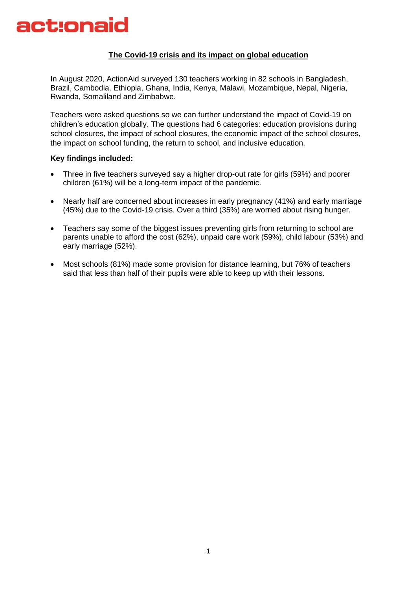

### **The Covid-19 crisis and its impact on global education**

In August 2020, ActionAid surveyed 130 teachers working in 82 schools in Bangladesh, Brazil, Cambodia, Ethiopia, Ghana, India, Kenya, Malawi, Mozambique, Nepal, Nigeria, Rwanda, Somaliland and Zimbabwe.

Teachers were asked questions so we can further understand the impact of Covid-19 on children's education globally. The questions had 6 categories: education provisions during school closures, the impact of school closures, the economic impact of the school closures, the impact on school funding, the return to school, and inclusive education.

#### **Key findings included:**

- Three in five teachers surveyed say a higher drop-out rate for girls (59%) and poorer children (61%) will be a long-term impact of the pandemic.
- Nearly half are concerned about increases in early pregnancy (41%) and early marriage (45%) due to the Covid-19 crisis. Over a third (35%) are worried about rising hunger.
- Teachers say some of the biggest issues preventing girls from returning to school are parents unable to afford the cost (62%), unpaid care work (59%), child labour (53%) and early marriage (52%).
- Most schools (81%) made some provision for distance learning, but 76% of teachers said that less than half of their pupils were able to keep up with their lessons.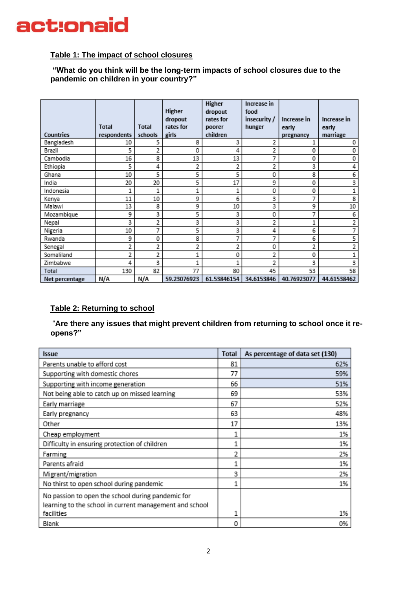## **Table 1: The impact of school closures**

**"What do you think will be the long-term impacts of school closures due to the pandemic on children in your country?"**

|                | <b>Total</b> | <b>Total</b> | Higher<br>dropout<br>rates for | Higher<br>dropout<br>rates for<br>poorer | Increase in<br>food<br>insecurity /<br>hunger | Increase in<br>early | Increase in<br>early |
|----------------|--------------|--------------|--------------------------------|------------------------------------------|-----------------------------------------------|----------------------|----------------------|
| Countries      | respondents  | schools      | girls                          | children                                 |                                               | pregnancy            | marriage             |
| Bangladesh     | 10           | 5            | 8                              | 3                                        | 2                                             | 1                    | 0                    |
| Brazil         | 5            | 2            | 0                              | 4                                        | 2                                             | 0                    | 0                    |
| Cambodia       | 16           | 8            | 13                             | 13                                       | 7                                             | 0                    | 0                    |
| Ethiopia       | 5            | 4            | 2                              | 2                                        | 2                                             | 3                    | 4                    |
| Ghana          | 10           | 5            | 5                              | 5                                        | 0                                             | 8                    | 6                    |
| India          | 20           | 20           | 5                              | 17                                       | 9                                             | 0                    | 3                    |
| Indonesia      | 1            | 1            | 1                              | 1                                        | 0                                             | 0                    | 1                    |
| Kenya          | 11           | 10           | 9                              | 6                                        | 3                                             | 7                    | 8                    |
| Malawi         | 13           | 8            | 9                              | 10                                       | 3                                             | 9                    | 10                   |
| Mozambique     | 9            | 3            | 5                              | 3                                        | 0                                             | 7                    | 6                    |
| Nepal          | 3            | 2            | 3                              | 3                                        | 2                                             | 1                    | 2                    |
| Nigeria        | 10           | 7            | 5                              | 3                                        | 4                                             | 6                    | 7                    |
| Rwanda         | 9            | 0            | 8                              | 7                                        | 7                                             | 6                    | 5                    |
| Senegal        | 2            | 2            | 2                              | 2                                        | 0                                             | 2                    | 2                    |
| Somaliland     | 2            | 2            |                                | 0                                        | 2                                             | 0                    |                      |
| Zimbabwe       | 4            | 3            | 1                              | 1                                        | 2                                             | 3                    | 3                    |
| Total          | 130          | 82           | 77                             | 80                                       | 45                                            | 53                   | 58                   |
| Net percentage | N/A          | N/A          | 59.23076923                    | 61.53846154                              | 34.6153846                                    | 40.76923077          | 44.61538462          |

## **Table 2: Returning to school**

"**Are there any issues that might prevent children from returning to school once it reopens?"**

| <b>Issue</b>                                                                                                 | <b>Total</b> | As percentage of data set (130) |
|--------------------------------------------------------------------------------------------------------------|--------------|---------------------------------|
| Parents unable to afford cost                                                                                | 81           | 62%                             |
| Supporting with domestic chores                                                                              | 77           | 59%                             |
| Supporting with income generation                                                                            | 66           | 51%                             |
| Not being able to catch up on missed learning                                                                | 69           | 53%                             |
| Early marriage                                                                                               | 67           | 52%                             |
| Early pregnancy                                                                                              | 63           | 48%                             |
| Other                                                                                                        | 17           | 13%                             |
| Cheap employment                                                                                             |              | 1%                              |
| Difficulty in ensuring protection of children                                                                |              | 1%                              |
| Farming                                                                                                      | 2            | 2%                              |
| Parents afraid                                                                                               |              | 1%                              |
| Migrant/migration                                                                                            | 3            | 2%                              |
| No thirst to open school during pandemic                                                                     |              | 1%                              |
| No passion to open the school during pandemic for<br>learning to the school in current management and school |              |                                 |
| facilities                                                                                                   | 1            | 1%                              |
| Blank                                                                                                        | 0            | 0%                              |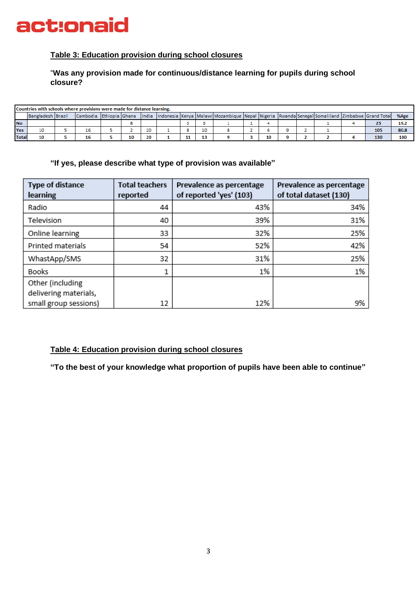

### **Table 3: Education provision during school closures**

### "**Was any provision made for continuous/distance learning for pupils during school closure?**

|              | Countries with schools where provisions were made for distance learning. |  |                             |  |    |       |  |    |    |                                                                                                                   |  |    |  |  |     |      |
|--------------|--------------------------------------------------------------------------|--|-----------------------------|--|----|-------|--|----|----|-------------------------------------------------------------------------------------------------------------------|--|----|--|--|-----|------|
|              | Bangladesh   Brazil                                                      |  | Cambodia   Ethiopia   Ghana |  |    | India |  |    |    | Indonesia   Kenya   Malawi  Mozambique   Nepal   Nigeria   Rwanda   Senegal   Somaliland   Zimbabwe   Grand Total |  |    |  |  |     | %Age |
| <b>No</b>    |                                                                          |  |                             |  |    |       |  |    |    |                                                                                                                   |  |    |  |  | 25  | 19.2 |
| Yes          | 10                                                                       |  | TР                          |  |    | 20    |  |    | 10 |                                                                                                                   |  |    |  |  | 105 | 80.8 |
| <b>Total</b> |                                                                          |  |                             |  | 10 | 20    |  | -- |    |                                                                                                                   |  | 10 |  |  | 130 | 100  |

### **"If yes, please describe what type of provision was available"**

| Type of distance<br><b>learning</b>       | <b>Total teachers</b><br>reported | Prevalence as percentage<br>of reported 'yes' (103) | Prevalence as percentage<br>of total dataset (130) |
|-------------------------------------------|-----------------------------------|-----------------------------------------------------|----------------------------------------------------|
| Radio                                     | 44                                | 43%                                                 | 34%                                                |
| Television                                | 40                                | 39%                                                 | 31%                                                |
| Online learning                           | 33                                | 32%                                                 | 25%                                                |
| Printed materials                         | 54                                | 52%                                                 | 42%                                                |
| WhastApp/SMS                              | 32                                | 31%                                                 | 25%                                                |
| <b>Books</b>                              |                                   | 1%                                                  | 1%                                                 |
| Other (including<br>delivering materials, |                                   |                                                     |                                                    |
| small group sessions)                     | 12                                | 12%                                                 | 9%                                                 |

### **Table 4: Education provision during school closures**

**"To the best of your knowledge what proportion of pupils have been able to continue"**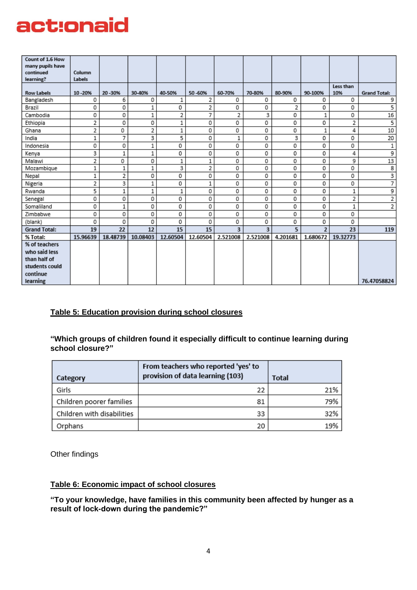| Count of 1.6 How<br>many pupils have<br>continued | Column   |          |          |          |          |             |          |          |                |                  |                         |
|---------------------------------------------------|----------|----------|----------|----------|----------|-------------|----------|----------|----------------|------------------|-------------------------|
| learning?                                         | Labels   |          |          |          |          |             |          |          |                |                  |                         |
| <b>Row Labels</b>                                 | 10-20%   | 20 - 30% | 30-40%   | 40-50%   | 50-60%   | 60-70%      | 70-80%   | 80-90%   | 90-100%        | Less than<br>10% | <b>Grand Total:</b>     |
| Bangladesh                                        | 0        | 6        | 0        | 1        | 2        | 0           | 0        | 0        | 0              | 0                | 9                       |
| Brazil                                            | 0        | 0        | 1        | 0        | 2        | 0           | 0        | 2        | 0              | 0                | 5                       |
| Cambodia                                          | 0        | 0        | 1        | 2        | 7        | 2           | 3        | 0        | $\,1$          | 0                | 16                      |
| Ethiopia                                          | 2        | 0        | 0        | 1        | 0        | 0           | 0        | 0        | 0              | 2                | 5                       |
| Ghana                                             | 2        | 0        | 2        | 1        | 0        | 0           | 0        | 0        | 1              | 4                | 10                      |
| India                                             | 1        | 7        | 3        | 5        | 0        | $\mathbf 1$ | 0        | 3        | 0              | 0                | 20                      |
| Indonesia                                         | 0        | 0        | 1        | 0        | 0        | 0           | 0        | 0        | 0              | 0                | 1                       |
| Kenya                                             | 3        | 1        | 1        | 0        | 0        | 0           | 0        | 0        | 0              | 4                | 9                       |
| Malawi                                            | 2        | 0        | 0        | 1        | 1        | 0           | 0        | 0        | 0              | 9                | 13                      |
| Mozambique                                        | 1        | 1        | 1        | 3        | 2        | 0           | 0        | 0        | 0              | 0                | 8                       |
| Nepal                                             | 1        | 2        | 0        | 0        | 0        | 0           | 0        | 0        | 0              | 0                | $\overline{\mathbf{3}}$ |
| Nigeria                                           | 2        | 3        | 1        | 0        | 1        | 0           | 0        | 0        | 0              | 0                | 7                       |
| Rwanda                                            | 5        | 1        | 1        | 1        | 0        | 0           | 0        | 0        | 0              | 1                | 9                       |
| Senegal                                           | 0        | 0        | 0        | 0        | 0        | 0           | 0        | 0        | 0              | 2                | 2                       |
| Somaliland                                        | 0        | 1        | 0        | 0        | 0        | 0           | 0        | 0        | 0              | 1                | 2                       |
| Zimbabwe                                          | 0        | 0        | 0        | 0        | 0        | 0           | 0        | 0        | 0              | 0                |                         |
| (blank)                                           | 0        | 0        | 0        | 0        | 0        | 0           | 0        | 0        | 0              | 0                |                         |
| <b>Grand Total:</b>                               | 19       | 22       | 12       | 15       | 15       | 3           | 3        | 5        | $\overline{2}$ | 23               | 119                     |
| % Total:                                          | 15.96639 | 18.48739 | 10.08403 | 12.60504 | 12.60504 | 2.521008    | 2.521008 | 4.201681 | 1.680672       | 19.32773         |                         |
| % of teachers                                     |          |          |          |          |          |             |          |          |                |                  |                         |
| who said less                                     |          |          |          |          |          |             |          |          |                |                  |                         |
| than half of                                      |          |          |          |          |          |             |          |          |                |                  |                         |
| students could                                    |          |          |          |          |          |             |          |          |                |                  |                         |
| continue                                          |          |          |          |          |          |             |          |          |                |                  |                         |
| learning                                          |          |          |          |          |          |             |          |          |                |                  | 76.47058824             |

## **Table 5: Education provision during school closures**

## **"Which groups of children found it especially difficult to continue learning during school closure?"**

| Category                   | From teachers who reported 'yes' to<br>provision of data learning (103) | <b>Total</b> |
|----------------------------|-------------------------------------------------------------------------|--------------|
| Girls                      | 22                                                                      | 21%          |
| Children poorer families   | 81                                                                      | 79%          |
| Children with disabilities | 33                                                                      | 32%          |
| Orphans                    | 20                                                                      | 19%          |

Other findings

## **Table 6: Economic impact of school closures**

**"To your knowledge, have families in this community been affected by hunger as a result of lock-down during the pandemic?"**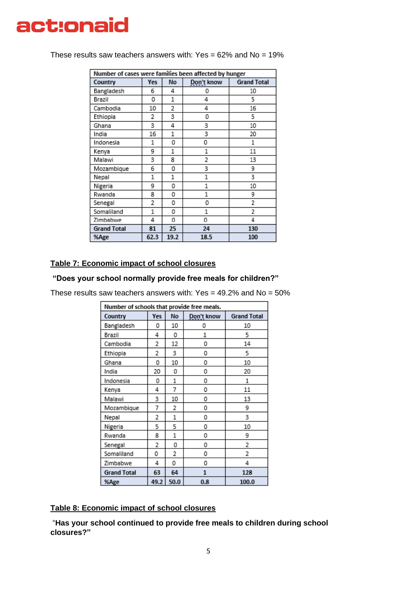| Number of cases were families been affected by hunger |            |           |            |                    |  |  |  |  |
|-------------------------------------------------------|------------|-----------|------------|--------------------|--|--|--|--|
| Country                                               | <b>Yes</b> | <b>No</b> | Don't know | <b>Grand Total</b> |  |  |  |  |
| Bangladesh                                            | 6          | 4         | ٥          | 10                 |  |  |  |  |
| Brazil                                                | 0          | 1         | 4          | 5                  |  |  |  |  |
| Cambodia                                              | 10         | 2         | 4          | 16                 |  |  |  |  |
| Ethiopia                                              | 2          | 3         | 0          | 5                  |  |  |  |  |
| Ghana                                                 | 3          | 4         | 3          | 10                 |  |  |  |  |
| India                                                 | 16         | 1         | 3          | 20                 |  |  |  |  |
| Indonesia                                             | 1          | 0         | 0          | 1                  |  |  |  |  |
| Kenya                                                 | 9          | 1         | 1          | 11                 |  |  |  |  |
| Malawi                                                | 3          | 8         | 2          | 13                 |  |  |  |  |
| Mozambique                                            | 6          | 0         | 3          | 9                  |  |  |  |  |
| Nepal                                                 | 1          | 1         | 1          | 3                  |  |  |  |  |
| Nigeria                                               | 9          | 0         | 1          | 10                 |  |  |  |  |
| Rwanda                                                | 8          | 0         | 1          | 9                  |  |  |  |  |
| Senegal                                               | 2          | ٥         | 0          | 2                  |  |  |  |  |
| Somaliland                                            | 1          | 0         | 1          | $\overline{2}$     |  |  |  |  |
| Zimbabwe                                              | 4          | 0         | 0          | 4                  |  |  |  |  |
| <b>Grand Total</b>                                    | 81         | 25        | 24         | 130                |  |  |  |  |
| %Age                                                  | 62.3       | 19.2      | 18.5       | 100                |  |  |  |  |

These results saw teachers answers with:  $Yes = 62\%$  and  $No = 19\%$ 

## **Table 7: Economic impact of school closures**

### **"Does your school normally provide free meals for children?"**

These results saw teachers answers with: Yes =  $49.2\%$  and No =  $50\%$ 

| Number of schools that provide free meals. |      |      |            |                    |  |  |  |  |
|--------------------------------------------|------|------|------------|--------------------|--|--|--|--|
| Country                                    | Yes  | No   | Don't know | <b>Grand Total</b> |  |  |  |  |
| Bangladesh                                 | 0    | 10   | ٥          | 10                 |  |  |  |  |
| Brazil                                     | 4    | 0    | 1          | 5                  |  |  |  |  |
| Cambodia                                   | 2    | 12   | 0          | 14                 |  |  |  |  |
| Ethiopia                                   | 2    | 3    | 0          | 5                  |  |  |  |  |
| Ghana                                      | 0    | 10   | 0          | 10                 |  |  |  |  |
| India                                      | 20   | 0    | 0          | 20                 |  |  |  |  |
| Indonesia                                  | 0    | 1    | 0          | 1                  |  |  |  |  |
| Kenya                                      | 4    | 7    | 0          | 11                 |  |  |  |  |
| Malawi                                     | 3    | 10   | 0          | 13                 |  |  |  |  |
| Mozambique                                 | 7    | 2    | 0          | 9                  |  |  |  |  |
| Nepal                                      | 2    | 1    | 0          | 3                  |  |  |  |  |
| Nigeria                                    | 5    | 5    | 0          | 10                 |  |  |  |  |
| Rwanda                                     | 8    | 1    | 0          | 9                  |  |  |  |  |
| Senegal                                    | 2    | 0    | 0          | 2                  |  |  |  |  |
| Somaliland                                 | 0    | 2    | 0          | 2                  |  |  |  |  |
| Zimbabwe                                   | 4    | 0    | 0          | 4                  |  |  |  |  |
| <b>Grand Total</b>                         | 63   | 64   | 1          | 128                |  |  |  |  |
| %Age                                       | 49.2 | 50.0 | 0.8        | 100.0              |  |  |  |  |

## **Table 8: Economic impact of school closures**

"**Has your school continued to provide free meals to children during school closures?"**